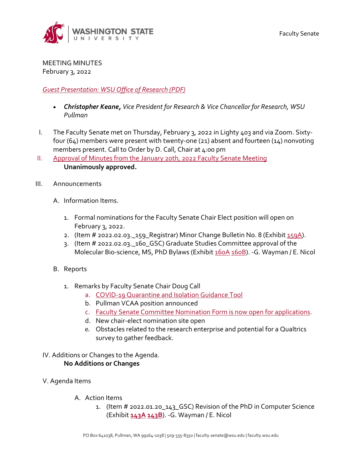

MEETING MINUTES February 3, 2022

## *[Guest Presentation: WSU Office of Research](https://s3.wp.wsu.edu/uploads/sites/2135/2022/02/KEANE_1.pdf) (PDF)*

- *Christopher Keane, Vice President for Research & Vice Chancellor for Research, WSU Pullman*
- I. The Faculty Senate met on Thursday, February 3, 2022 in Lighty 403 and via Zoom. Sixtyfour (64) members were present with twenty-one (21) absent and fourteen (14) nonvoting members present. Call to Order by D. Call, Chair at 4:00 pm
- II. Approval of Minutes from [the January 20th, 2022 Faculty Senate Meeting](https://s3.wp.wsu.edu/uploads/sites/2135/2022/02/FSM1.20.22-Minutes-.pdf) **Unanimously approved.**
- III. Announcements
	- A. Information Items.
		- 1. Formal nominations for the Faculty Senate Chair Elect position will open on February 3, 2022.
		- 2. (Item # 2022.02.03. 159 Registrar) Minor Change Bulletin No. 8 (Exhibit  $159A$ ).
		- 3. (Item # 2022.02.03.\_160\_GSC) Graduate Studies Committee approval of the Molecular Bio-science, MS, PhD Bylaws (Exhibi[t 160A](https://s3.wp.wsu.edu/uploads/sites/2135/2022/02/MEMOPH1.pdf) [160B\)](https://s3.wp.wsu.edu/uploads/sites/2135/2022/02/2021-Physics-bylaws-GSC.pdf). -G. Wayman / E. Nicol
	- B. Reports
		- 1. Remarks by Faculty Senate Chair Doug Call
			- a. [COVID-19 Quarantine and Isolation Guidance Tool](https://wsu.co1.qualtrics.com/jfe/form/SV_eWcZzzBDONJaMNo)
			- b. Pullman VCAA position announced
			- c. [Faculty Senate Committee Nomination Form is now open for applications.](https://facsen.wsu.edu/senate-committees/faculty-senate-committee-application-nomination-form/)
			- d. New chair-elect nomination site open
			- e. Obstacles related to the research enterprise and potential for a Qualtrics survey to gather feedback.

## IV. Additions or Changes to the Agenda. **No Additions or Changes**

- V. Agenda Items
	- A. Action Items
		- 1. (Item # 2022.01.20\_143\_GSC) Revision of the PhD in Computer Science (Exhibit **[143A](https://s3.wp.wsu.edu/uploads/sites/2135/2022/01/143A1.pdf) [143B](https://s3.wp.wsu.edu/uploads/sites/2135/2022/01/143B1.pdf)**). -G. Wayman / E. Nicol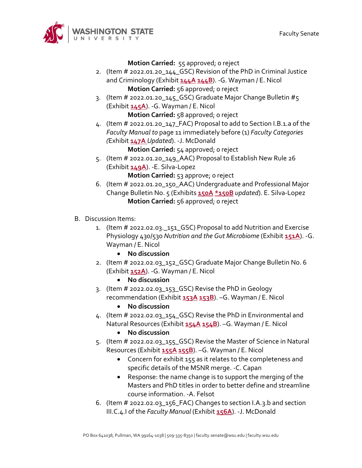

**Motion Carried:** 55 approved; 0 reject

- 2. (Item # 2022.01.20\_144\_GSC) Revision of the PhD in Criminal Justice and Criminology (Exhibit **[144A](https://s3.wp.wsu.edu/uploads/sites/2135/2022/01/144A1.pdf) [144B](https://s3.wp.wsu.edu/uploads/sites/2135/2022/01/144B1.pdf)**). -G. Wayman / E. Nicol **Motion Carried:** 56 approved; o reject
- 3. (Item # 2022.01.20\_145\_GSC) Graduate Major Change Bulletin #5 (Exhibit **[145A](https://s3.wp.wsu.edu/uploads/sites/2135/2022/01/GMCB-5.pdf)**). -G. Wayman / E. Nicol

**Motion Carried:** 58 approved; 0 reject

4. (Item # 2022.01.20\_147\_FAC) Proposal to add to Section I.B.1.a of the *Faculty Manual to* page 11 immediately before (1) *Faculty Categories (*Exhibit **[147A](https://s3.wp.wsu.edu/uploads/sites/2135/2022/01/MEMO-track-changes-for-FM-1.pdf)** *Updated*). -J. McDonald

**Motion Carried:** 54 approved; 0 reject

- 5. (Item # 2022.01.20\_149\_AAC) Proposal to Establish New Rule 26 (Exhibit **[149A](https://s3.wp.wsu.edu/uploads/sites/2135/2022/01/149A1.pdf)**). -E. Silva-Lopez **Motion Carried:** 53 approve; o reject
- 6. (Item # 2022.01.20\_150\_AAC) Undergraduate and Professional Major Change Bulletin No. 5 (Exhibits **[150A](https://s3.wp.wsu.edu/uploads/sites/2135/2022/01/150A-upmcb-5-requirements.pdf) [\\*150B](https://s3.wp.wsu.edu/uploads/sites/2135/2022/02/150B1.pdf)** *updated*). E. Silva-Lopez **Motion Carried:** 56 approved; o reject
- B. Discussion Items:
	- 1. (Item # 2022.02.03.\_151\_GSC) Proposal to add Nutrition and Exercise Physiology 430/530 *Nutrition and the Gut Microbiome* (Exhibit **[151A](https://s3.wp.wsu.edu/uploads/sites/2135/2022/01/151A1.pdf)**). -G. Wayman / E. Nicol
		- **No discussion**
	- 2. (Item # 2022.02.03\_152\_GSC) Graduate Major Change Bulletin No. 6 (Exhibit **[152A](https://s3.wp.wsu.edu/uploads/sites/2135/2022/01/152A-GMCB-6.pdf)**). -G. Wayman / E. Nicol
		- **No discussion**
	- 3. (Item # 2022.02.03\_153\_GSC) Revise the PhD in Geology recommendation (Exhibit **[153A](https://s3.wp.wsu.edu/uploads/sites/2135/2022/01/153A-Memo-1-25-2022-PHD-Geology-.pdf) [153B](https://s3.wp.wsu.edu/uploads/sites/2135/2022/01/153B-PhD-in-Geology-final-packet-9-2-21-1.pdf)**). –G. Wayman / E. Nicol
		- **No discussion**
	- 4. (Item # 2022.02.03\_154\_GSC) Revise the PhD in Environmental and Natural Resources (Exhibit **[154A](https://s3.wp.wsu.edu/uploads/sites/2135/2022/01/154A-Memo-1-25-2022-PHD-Environmental-and-Natural-Resources.pdf) [154B](https://s3.wp.wsu.edu/uploads/sites/2135/2022/01/154B-020-PhD-in-Environmental-and-NRS-9-2-21.pdf)**). –G. Wayman / E. Nicol
		- **No discussion**
	- 5. (Item # 2022.02.03\_155\_GSC) Revise the Master of Science in Natural Resources (Exhibit **[155A](https://s3.wp.wsu.edu/uploads/sites/2135/2022/01/155A-Memo-1-25-2022-MS-Natural-Resources.pdf) [155B](https://s3.wp.wsu.edu/uploads/sites/2135/2022/01/155B-MS-in-Natural-Resource-Sciences-final-packet-9-2-21.pdf)**). –G. Wayman / E. Nicol
		- Concern for exhibit 155 as it relates to the completeness and specific details of the MSNR merge. -C. Capan
		- Response: the name change is to support the merging of the Masters and PhD titles in order to better define and streamline course information. -A. Felsot
	- 6. (Item # 2022.02.03\_156\_FAC) Changes to section I.A.3.b and section III.C.4.I of the *Faculty Manual* (Exhibit **[156A](https://s3.wp.wsu.edu/uploads/sites/2135/2022/01/156A-MEMO-Eligibility.pdf)**). -J. McDonald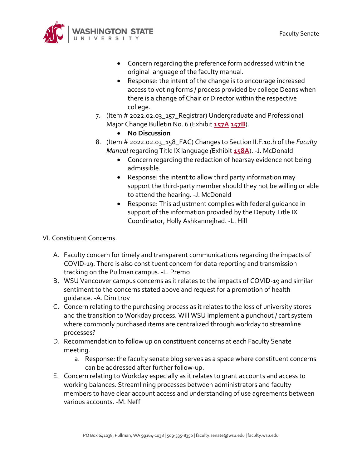

- Concern regarding the preference form addressed within the original language of the faculty manual.
- Response: the intent of the change is to encourage increased access to voting forms / process provided by college Deans when there is a change of Chair or Director within the respective college.
- 7. (Item # 2022.02.03\_157\_Registrar) Undergraduate and Professional Major Change Bulletin No. 6 (Exhibit **[157A](https://s3.wp.wsu.edu/uploads/sites/2135/2022/01/upmcb-6-courses.pdf) [157B](https://s3.wp.wsu.edu/uploads/sites/2135/2022/01/upmcb-6-requirements.pdf)**).
	- **No Discussion**
- 8. (Item # 2022.02.03\_158\_FAC) Changes to Section II.F.10.h of the *Faculty Manual* regarding Title IX language *(*Exhibit **[158A](https://s3.wp.wsu.edu/uploads/sites/2135/2022/01/MEMO-Title-IX.pdf)**). -J. McDonald
	- Concern regarding the redaction of hearsay evidence not being admissible.
	- Response: the intent to allow third party information may support the third-party member should they not be willing or able to attend the hearing. -J. McDonald
	- Response: This adjustment complies with federal guidance in support of the information provided by the Deputy Title IX Coordinator, Holly Ashkannejhad. -L. Hill

VI. Constituent Concerns.

- A. Faculty concern for timely and transparent communications regarding the impacts of COVID-19. There is also constituent concern for data reporting and transmission tracking on the Pullman campus. -L. Premo
- B. WSU Vancouver campus concerns as it relates to the impacts of COVID-19 and similar sentiment to the concerns stated above and request for a promotion of health guidance. -A. Dimitrov
- C. Concern relating to the purchasing process as it relates to the loss of university stores and the transition to Workday process. Will WSU implement a punchout / cart system where commonly purchased items are centralized through workday to streamline processes?
- D. Recommendation to follow up on constituent concerns at each Faculty Senate meeting.
	- a. Response: the faculty senate blog serves as a space where constituent concerns can be addressed after further follow-up.
- E. Concern relating to Workday especially as it relates to grant accounts and access to working balances. Streamlining processes between administrators and faculty members to have clear account access and understanding of use agreements between various accounts. -M. Neff